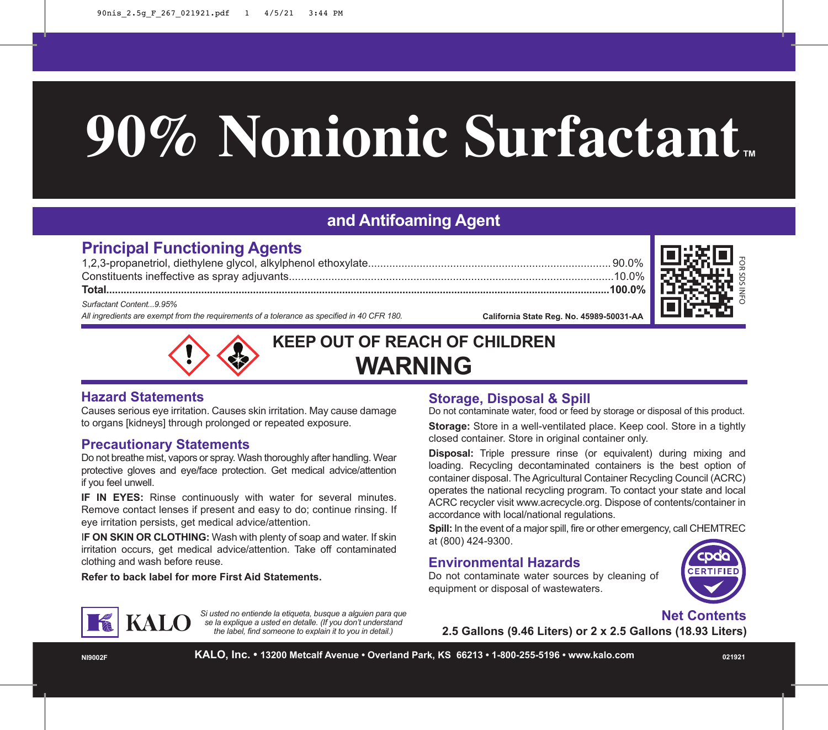# **90% Nonionic Surfactant**

## **and Antifoaming Agent**

### **Principal Functioning Agents**

1,2,3-propanetriol, diethylene glycol, alkylphenol ethoxylate................................................................................ 90.0% Constituents ineffective as spray adjuvants...........................................................................................................10.0%

**Total...............................................................................................................................................................................100.0%**

*Surfactant Content...9.95%*

*All ingredients are exempt from the requirements of a tolerance as specified in 40 CFR 180.*

**California State Reg. No. 45989-50031-AA**





**KEEP OUT OF REACH OF CHILDREN WARNING**

#### **Hazard Statements**

Causes serious eye irritation. Causes skin irritation. May cause damage to organs [kidneys] through prolonged or repeated exposure.

#### **Precautionary Statements**

Do not breathe mist, vapors or spray. Wash thoroughly after handling. Wear protective gloves and eye/face protection. Get medical advice/attention if you feel unwell.

**IF IN EYES:** Rinse continuously with water for several minutes. Remove contact lenses if present and easy to do; continue rinsing. If eye irritation persists, get medical advice/attention.

I**F ON SKIN OR CLOTHING:** Wash with plenty of soap and water. If skin irritation occurs, get medical advice/attention. Take off contaminated clothing and wash before reuse.

*Si usted no entiende la etiqueta, busque a alguien para que se la explique a usted en detalle. (If you don't understand the label, find someone to explain it to you in detail.)*

**Refer to back label for more First Aid Statements.**

#### **Storage, Disposal & Spill**

Do not contaminate water, food or feed by storage or disposal of this product.

**Storage:** Store in a well-ventilated place. Keep cool. Store in a tightly closed container. Store in original container only.

**Disposal:** Triple pressure rinse (or equivalent) during mixing and loading. Recycling decontaminated containers is the best option of container disposal. The Agricultural Container Recycling Council (ACRC) operates the national recycling program. To contact your state and local ACRC recycler visit www.acrecycle.org. Dispose of contents/container in accordance with local/national regulations.

**Spill:** In the event of a major spill, fire or other emergency, call CHEMTREC at (800) 424-9300.

#### **Environmental Hazards**

Do not contaminate water sources by cleaning of equipment or disposal of wastewaters.



#### **Net Contents**

**2.5 Gallons (9.46 Liters) or 2 x 2.5 Gallons (18.93 Liters)**

**NI9002F KALO, Inc. • 13200 Metcalf Avenue • Overland Park, KS 66213 • 1-800-255-5196 • www.kalo.com <sup>021921</sup>**